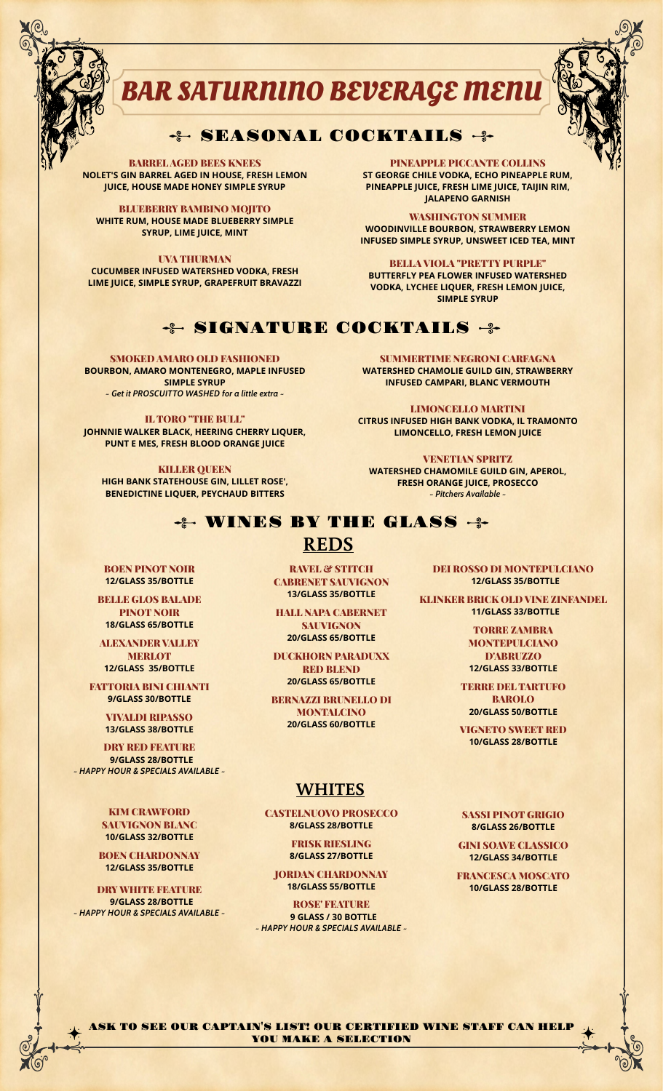

# **BAR SATURNINO BEVERAGE MENU**

# - SEASONAL COCKTAILS - 3-

BARREL AGED BEES KNEES **NOLET'S GIN BARREL AGED IN HOUSE, FRESH LEMON JUICE, HOUSE MADE HONEY SIMPLE SYRUP**

BLUEBERRY BAMBINO MOJITO **WHITE RUM, HOUSE MADE BLUEBERRY SIMPLE SYRUP, LIME JUICE, MINT**

UVA THURMAN **CUCUMBER INFUSED WATERSHED VODKA, FRESH LIME JUICE, SIMPLE SYRUP, GRAPEFRUIT BRAVAZZI**

PINEAPPLE PICCANTE COLLINS **ST GEORGE CHILE VODKA, ECHO PINEAPPLE RUM, PINEAPPLE JUICE, FRESH LIME JUICE, TAIJIN RIM, JALAPENO GARNISH**

WASHINGTON SUMMER **WOODINVILLE BOURBON, STRAWBERRY LEMON INFUSED SIMPLE SYRUP, UNSWEET ICED TEA, MINT**

BELLA VIOLA "PRETTY PURPLE" **BUTTERFLY PEA FLOWER INFUSED WATERSHED VODKA, LYCHEE LIQUER, FRESH LEMON JUICE, SIMPLE SYRUP**

## ÷ SIGNATURE COCKTAILS ÷

SMOKED AMARO OLD FASHIONED **BOURBON, AMARO MONTENEGRO, MAPLE INFUSED SIMPLE SYRUP** *~ Get it PROSCUITTO WASHED for a little extra ~*

IL TORO "THE BULL" **JOHNNIE WALKER BLACK, HEERING CHERRY LIQUER, PUNT E MES, FRESH BLOOD ORANGE JUICE**

**KILLER QUEEN HIGH BANK STATEHOUSE GIN, LILLET ROSE', BENEDICTINE LIQUER, PEYCHAUD BITTERS**

SUMMERTIME NEGRONI CARFAGNA **WATERSHED CHAMOLIE GUILD GIN, STRAWBERRY INFUSED CAMPARI, BLANC VERMOUTH**

LIMONCELLO MARTINI **CITRUS INFUSED HIGH BANK VODKA, IL TRAMONTO LIMONCELLO, FRESH LEMON JUICE**

VENETIAN SPRITZ **WATERSHED CHAMOMILE GUILD GIN, APEROL, FRESH ORANGE JUICE, PROSECCO** *~ Pitchers Available ~*

**WINES BY THE GLASS +** 

# **REDS**

BOEN PINOT NOIR **12/GLASS 35/BOTTLE**

BELLE GLOS BALADE PINOT NOIR **18/GLASS 65/BOTTLE**

ALEXANDER VALLEY **MERLOT 12/GLASS 35/BOTTLE**

FATTORIA BINI CHIANTI

**13/GLASS 38/BOTTLE**

**DRY RED FEATURE 9/GLASS 28/BOTTLE** *~ HAPPY HOUR & SPECIALS AVAILABLE ~*

> KIM CRAWFORD SAUVIGNON BLANC **10/GLASS 32/BOTTLE**

**12/GLASS 35/BOTTLE**

**DRY WHITE FEATURE 9/GLASS 28/BOTTLE** *~ HAPPY HOUR & SPECIALS AVAILABLE ~*

RAVEL & STITCH CABRENET SAUVIGNON **13/GLASS 35/BOTTLE**

HALL NAPA CABERNET SAUVIGNON **20/GLASS 65/BOTTLE**

DUCKHORN PARADUXX RED BLEND **20/GLASS 65/BOTTLE**

**9/GLASS 30/BOTTLE BERNAZZI BRUNELLO DI** MONTALCINO **20/GLASS 60/BOTTLE 20/GLASS 50/BOTTLE** VIVALDI RIPASSO

# **WHITES**

CASTELNUOVO PROSECCO **8/GLASS 28/BOTTLE**

> FRISK RIESLING **8/GLASS 27/BOTTLE**

JORDAN CHARDONNAY **18/GLASS 55/BOTTLE**

ROSE' FEATURE  **9 GLASS / 30 BOTTLE** *~ HAPPY HOUR & SPECIALS AVAILABLE ~* DEI ROSSO DI MONTEPULCIANO  **12/GLASS 35/BOTTLE**

KLINKER BRICK OLD VINE ZINFANDEL  **11/GLASS 33/BOTTLE**

> TORRE ZAMBRA **MONTEPULCIANO** D'ABRUZZO **12/GLASS 33/BOTTLE**

TERRE DEL TARTUFO BAROLO

**VIGNETO SWEET RED<br>10/GLASS 28/BOTTLE** 

SASSI PINOT GRIGIO **8/GLASS 26/BOTTLE**

GINI SOAVE CLASSICO **12/GLASS 27/BOTTLE** 

FRANCESCA MOSCATO<br>10/GLASS 28/BOTTLE

ASK TO SEE OUR CAPTAIN'S LIST! OUR CERTIFIED WINE STAFF CAN HELP YOU MAKE A SELECTION